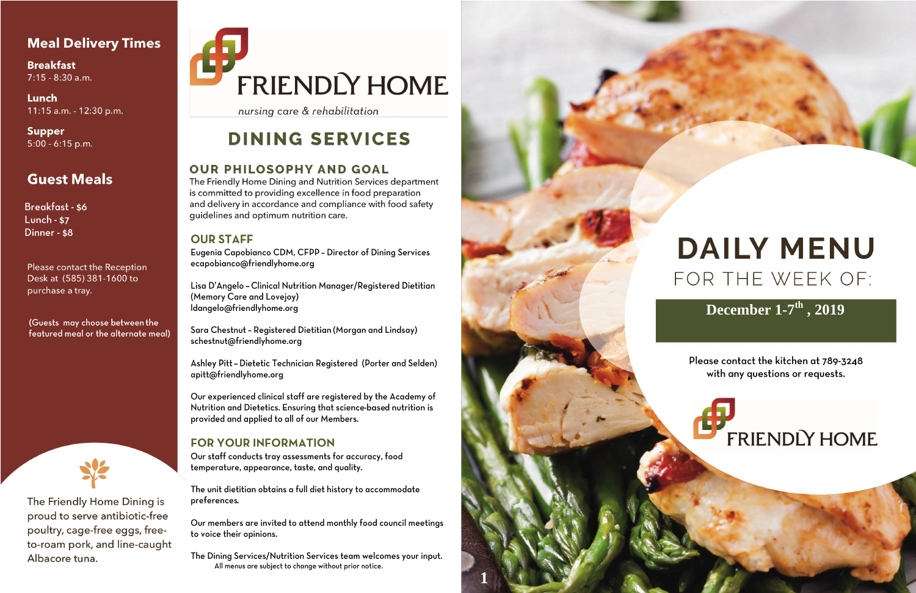## **Meal Delivery Times**

**Breakfast** 7:15 - 8:30 a.m.

Lunch 11:15 a.m. - 12:30 p.m.

**Supper** 5:00 - 6:15 p.m.

# **Guest Meals**

**Breakfast - \$6** Lunch - \$7 Dinner - \$8

**Please contact the Reception** Desk at (585) 381-1600 to purchase a tray.

(Guests may choose between the featured meal or the alternate meal)



The Friendly Home Dining is proud to serve antibiotic-free poultry, cage-free eggs, freeto-roam pork, and line-caught Albacore tuna.

# FRIENDLY HOME

nursing care & rehabilitation

# **DINING SERVICES**

## **OUR PHILOSOPHY AND GOAL**

The Friendly Home Dining and Nutrition Services department is committed to providing excellence in food preparation and delivery in accordance and compliance with food safety guidelines and optimum nutrition care.

### **OUR STAFF**

Eugenia Capobianco CDM, CFPP - Director of Dining Services ecapobianco@friendlyhome.org

Lisa D'Angelo - Clinical Nutrition Manager/Registered Dietitian (Memory Care and Lovejoy) ldangelo@friendlyhome.org

Sara Chestnut - Registered Dietitian (Morgan and Lindsay) schestnut@friendlyhome.org

Ashley Pitt - Dietetic Technician Registered (Porter and Selden) apitt@friendlyhome.org

Our experienced clinical staff are registered by the Academy of Nutrition and Dietetics. Ensuring that science-based nutrition is provided and applied to all of our Members.

## **FOR YOUR INFORMATION**

Our staff conducts tray assessments for accuracy, food temperature, appearance, taste, and quality.

The unit dietitian obtains a full diet history to accommodate preferences.

Our members are invited to attend monthly food council meetings to voice their opinions.

The Dining Services/Nutrition Services team welcomes your input. All menus are subject to change without prior notice.



# **DAILY MENU** FOR THE WEEK OF:

# December  $1-7^{\text{th}}$ , 2019

Please contact the kitchen at 789-3248 with any questions or requests.

# **FRIENDLY HOME**